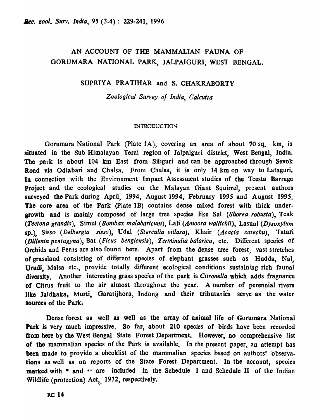## AN ACCOUNT OF THE MAMMALIAN FAUNA OF GORUMARA NATIONAL PARK, JALPAIGURI, WEST BENGAL.

### SUPRIYA PRATIHAR and S. CHAKRABORTY

*Zoological Survey of India, Calcutta* 

#### INTRODUCTION

Gorumara National Park (Plate lA), covering an area of about 70 sq. km, is situated in the Sub-Himalayan Terai region of Jalpaiguri district, West Bengal, India. The park is about 104 km East from Siliguri and can be approached through Sevok Road via Odlabari and Chalsa. From Chalsa, it is only 14 km on way to Lataguri. In connection with the Environment Impact Assessment studies of the Teesta Barrage Project and the ecological studies on the Malayan Giant Squirrel, present authors surveyed the Park during' April, 1994, August 1994, February 1995 and August 1995. The core area of the Park (Plate 1B) contains dense mixed forest with thick undergrowth and is mainly composed of large tree species like Sal *(Shorea robusta)*, Teak *(Tectona grandis),* Simul *(Bombax malabaricum),* Lali *(Amoora wallichii),* Lasuni *(Dysoxyillm*  sp.), Sisso *(Delbergia sisso),* Udal *(Sterculia villosa)*, Khair *(Acacia catechu),* Tatari *(Dlllenia pentagyna),* Bat *(Ficus benglensis), Terminalia balarica,* etc. Different species of Orchids and Ferns are also found here. Apart from the dense tree forest, vast stretches of grassland consistiog of different species of elephant grasses such as Hudda, Nal, Urudi, Malsa etc., provide totally different ecological conditions sustaining rich faunal diversity. Another interesting grass species of the park is *Citronella* which adds fragnance of Citrus fruit to the air almost throughout the year. A number of perennial rivers like Jaldhaka, Murti, Garatijhora, Indong and their tributaries serve as the water sources of the Park.

Dense forest as well as well as the array of animal life of Gorumara National Park is very much impressive. So far, about 210 species of birds have been recorded from here by the West Bengal State Forest Department. However, no comprehensive list of the mammalian species of the Park is available. In the present paper, an attempt has been made to provide a checklist of the mammalian species based on authors' observations as well as on reports of the State Forest Department. In the account, species marked with \* and \*\* are included in the Schedule I and Schedule II of the Indian Wildlife (protection) Act, 1972, respectively.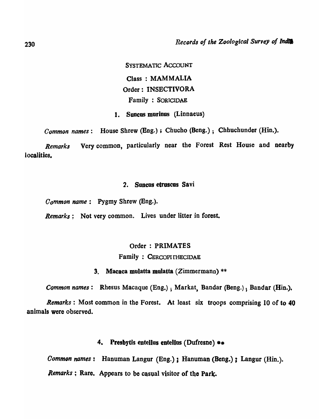SYSTEMATIC ACCOUNT Class: MAMMALIA Order: INSBCTIVORA Family : SOR1CIDAE

1. Suneus morinus (Linnaeus)

*Common names:* House Shrew (Eng.) ; Chucho (Beng.); Chhuchunder (Hin.).

*Remarks* Very common, particularly near the Forest Rest House and nearby localities.

## 2. Suneus etruscus Savi

*Oommon name:* Pygmy Shrew (Bng.).

*Remarks*: Not very common. Lives under litter in forest.

## Order: PRIMATES

## Family: CERCOPITHECIDAE

### 3. Macaca mulatta mulatta (Zimmermann) \*\*

*Common names*: Rhesus Macaque (Eng.); Markat, Bandar (Beng.); Bandar (Hin.).

*Remarks:* Most common in the Forest. At least six troops comprising 10 of to 40 animals were observed.

## 4. Presbytis entellus entellus (Dufresne) \*\*

*Common names* : Hanuman Langur (Eng.) ; Hanuman (Beng.) ; Langur (Hin.). Remarks ; Rare. Appears to be casual visitor of the Park.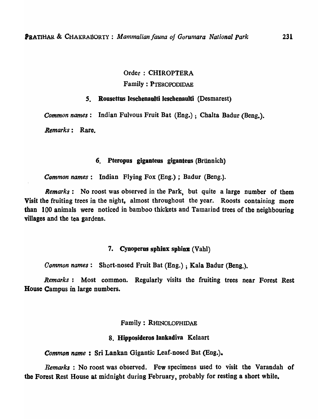# Order: CHIROPTERA Family : PTEROPODIDAE

## *s.* Roosettus leschenaulti lesehenaulti (Desmarest)

*Common names:* Indian Fulvous Fruit Bat (Eng.) ; Chalta Badur (Beng.).

*Remarks:* Rare.

## 6. Pteropus giganteus giganteus (Brünnich)

*Common names:* Indian Flying Fox (Eng.); Badur (Beng.).

*Remarks:* No roost was observed in the Park, but quite a large number of them Visit the fruiting trees in the night, almost throughout the year. Roosts containing more than 100 animals were noticed in bamboo thickets and Tamaind trees of the neighbouring villages and the tea gardens.

#### 7. Cynoperus sphinx sphinx  $(Val)$

*Common names:* Short-nosed Fruit Bat (Eng.) ; Kala Badur (Beng.).

*Remarks*: Most common. Regularly visits the fruiting trees near Forest Rest House Campus in large numbers.

Family: RHINOLOPHlDAE

## 8. Hipposideros lankadiva Kelaart

*Common name* : Sri Lankan Gigantic Leaf-nosed Bat (Eng.).

*Remarks* : No roost was observed. Few specimens used to visit the Varandah of the Forest Rest House at midnight during February, probably for resting a short while.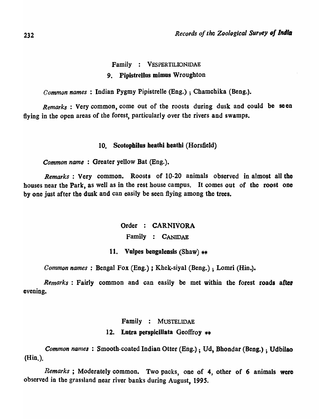## Family : VESPERTILIONIDAE 9. Pipistrellus mimus Wroughton

*Common names:* Indian Pygmy Pipistrelle (Eng.) ; Chamchika (Beng.).

*Remarks:* Very common, come out of the roosts during dusk and could be seen flying in the open areas of the forest, particularly over the rivers and swamps.

### 10. Scotophilus heathi heathi (Horsfield)

*Common name:* Greater yellow Bat (Eng.).

*Remarks*: Very common. Roosts of 10-20 animals observed in almost all the houses near the Park, as well as in the rest house campus. It comes out of the roost one by one just after the dusk and can easily be seen flying among the trees.

> Order : CARNIVORA Family : CANIDAE

## 11. Vulpes bengalensis (Shaw)  $**$

*Common names* ; Bengal Fox (Eng.) *i* Khek-siyal (Beng.) ; Lomri (Hin.).

*Remarks*: Fairly common and can easily be met within the forest roads after evening.

### Family : MUSTELIDAE

#### 12. Lutra perspicillata Geoffroy  $**$

*Common nanlea* : Smooth-coated Indian Otter (Eng.) ; Ud, Bhondar (Beng.) ; Udbilao (Hin.).

*Remarks* ; Moderately common. Two packs, one of 4, other of 6 animals were observed in the grassland near river banks during August, 1995.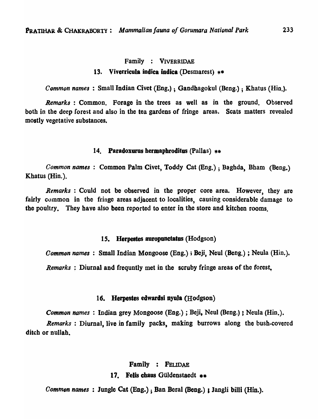#### Family : VIVERRIDAE

## 13. Viverricula indica indica (Desmarest)  $**$

*Common names:* Small Indian Civet (Eng.) ; Gandbagokul (Beng.) ; Khatus (Hin.).

*Remarks* : Common. Forage in the trees as well as in the ground. Observed both in the deep forest and also in the tea gardens of fringe areas. Scats matters revealed mostly vegetative substances.

#### 14. Paradoxurus hermaphroditus (Pallas)  $**$

*Common names:* Common Palm Civet, Toddy Cat (Bng.) ; Baghda, Bham (Beng.) Khatus (Hin.).

*Remarks* : Could not be observed in the proper core area. However, they are fairly common in the fringe areas adjacent to localities, causing considerable damage to the poultry. They have also been reported to enter in the store and kitchen rooms.

#### 15. **Herpestes auropunctatus (Hodgson)**

*Common names*: Small Indian Mongoose (Eng.); Beji, Neul (Beng.); Neula (Hin.).

*Remarks* : Diurnal and frequntly met in the scruby fringe areas of the forest.

#### 16. Herpestes edwardsi nyula (Hodgson)

*Common names:* Indian grey Mongoose (Eng.); Beji, Neul (Beng.); Neula (Hin.).

*Remarks:* Diurnal, live in family packs, making burrows along the bush-covered ditch or nullah.

## Family : FELIDAE

### 17. Felis chaus Güldenstaedt \*\*

*Common names:* Jungle Cat (Eng.) ; Ban Beral (Beng.) I Jangli billi (Hin.).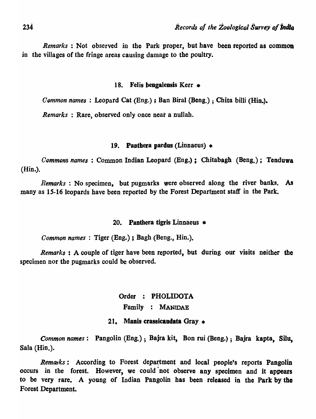*Remarks*: Not observed in the Park proper, but have been reported as common in the villages of the fringe areas causing damage to the poultry.

## 18. Felis bengalensis Kerr \*

*Oommon names:* Leopard Cat (Eng.) ; Ban Biral (Beng.) ; Chita billi (Hin.).

*Remarks* : Rare, observed only once near a nullah.

## 19. Papthera pardus (Linnaeus)  $*$

*Commons names* : Common Indian Leopard (Eng.); Chitabagh (Beng.); Tenduwa (Hin.).

*Remarks* : No specimen, but pugmarks were observed along the river banks. As many as 15-16 leopards have been reported by the Forest Department staff in the Park.

## 20. Panthera tigris Linnaeus  $*$

*Common names* : Tiger (Eng.) ; Bagh (Beng., Hin.).

*Remarks:* A couple of tiger have been reported, but during our visits neither the specimen nor the pugmarks could be observed.

> Order : PHOLIDOTA Family : MANIDAE

## 21. Manis crassicaudata Gray  $*$

*Common names:* Pangolin (Eng.) ; Bajra kit, Bon rui (Beng.) ; Bajra kapta, Silu, Sala (Hin.).

*Remarks*: According to Forest department and local people's reports Pangolin occurs in the forest. However, we could not observe any specimen and it appears to be very rare. A young of Indian Pangolin has been released in the Park by tbo Forest Department.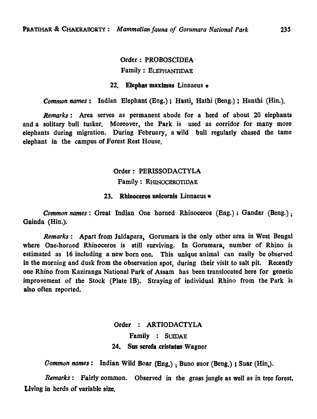## Order: PROBOSCIDEA' Family : ELEPHANTIDAE

### 22. Elephas maximus Linnaeus  $*$

*Common names*: Indian Elephant (Eng.); Hasti, Hathi (Beng.); Hanthi (Hin.).

*Remarks:* Area serves as permanent abode for a herd of about 20 elephants and a solitary bull tusker. Moreover, the Park is used as corridor for many more elephants during migration. During February, a wild bull regularly chased the tame elephant in the campus of Forest Rest House.

## Order: PERISSODACTYLA

## Family: RHINOCEROTIOAE

## 23. Rhinoceros unicomis Linnaeus \*

*Common names;* Great Indian One horned Rhinoceros (Eng.); Gandar (Beng.); Gainda (Hin.).

*Remarks:* Apart from Jaldapara, Gorumara· is the only other area in West Bengal where One-horned Rhinoceros is still surviving. In Gorumara, number of Rhino is estimated as 16 including a new born one. This unique animal can easily be observed in the morning and dusk from the observation spot, during their visit to salt pit. Recently one Rhino from Kaziranga National Park of Assam has been translocated here for genetic improvement of the Stock (Plate IB). Straying of individual Rhino from the Park is also often reported.

# Order : ARTIODACTYLA Family : SUIDAE 24. Sus scrofa cristatus Wagner

*Common names*: Indian Wild Boar (Eng.): Buno suor (Beng.) ; Suar (Hin.).

*Remarks:* Fairly common. Observed in the grass jungle as well as in tree forest. Living in herds of variable size.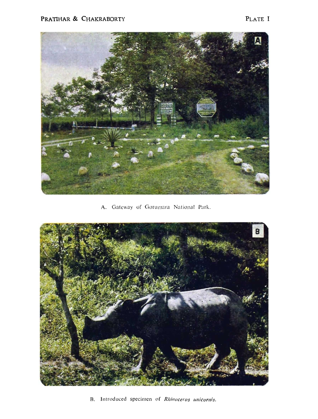

A. Gateway of Gorumara National Park.



B. Introduced specimen of *Rhinoceros unicornis*.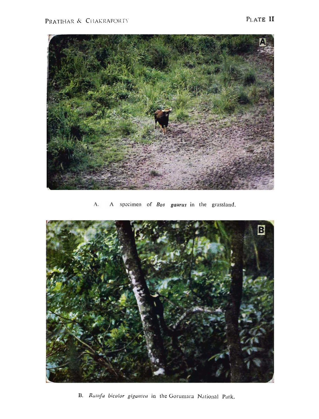

A specimen of *Bos gaurus* in the grassland. A.



B. Ratufa bicolor gigantea in the Gorumara National Park.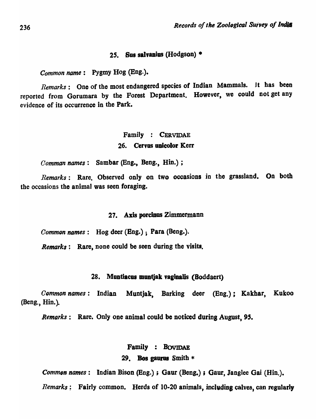### *2S.* Sus salyanius (Hodgson) \*

*Common name:* Pygmy Hog (Eng.).

*Remarks:* One of the most endangered species of Indian Mammals. Jt has been reported from Gorumara by the Forest Department. However, we could not get any evidence of its occurrence in the Park.

## Family : CERVlDAE 26. Cervus unicolor Kerr

*Comman names:* Sambar (Eng., Beng., Hin.);

*Remarks:* Rare. Observed only on two occasions in the grassland. On both the occasions the animal was seen foraging.

#### 27. Axis poreinus Zimmermann

*Common names*: Hog deer (Eng.); Para (Beng.).

*Remarks*: Rare, none could be seen during the visits.

#### 28. Muntiacus muntjak vaginalis (Boddaert)

*Common names:* Indian Muntjak, Barking deer (Bng.); Kakhar, Kukoo (Beng., Hin.).

*Remarks:* Rare. Only one animal could be noticed durins August, 95.

### Family : BOVIDAE

## 29. Bos gaurus Smith  $*$

*Common names*: Indian Bison (Eng.); Gaur (Beng.); Gaur, Janglee Gai (Hin.).

*Remarks*: Fairly common, Herds of 10-20 animals, including calves, can regularly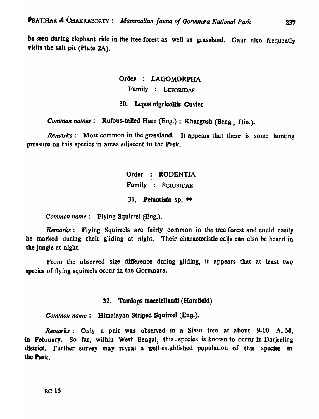be seen during elephant ride in the tree forest as well as grassland. Gaur also frequently visits the salt pit (Plate 2A).

# Order : LAGOMORPHA Family : LEPORIDAE

## 30. Lepus nigricollis Cuvier

*Common names*: Rufous-tailed Hare (Eng.); Khargosh (Beng., Hin.).

*Remarks.:* Most common in the grassland. It appears that there is some hunting pressure on this species in areas adjacent to the Park.

> Order .: RODENTIA Family : SCIURIDAE 31. Petaurista sp.  $**$

*Common name*: Flying Squirrel (Eng.).

*Remarks*: Flying Squirrels are fairly common in the tree forest and could easily be marked during their gliding at night. Their characteristic calls can also be heard in the jungle at night.

From the observed size difference during gliding, it appears that at least two species of flying squirrels occur in the Gorumara.

## 32. Tamiops maeclellandi (Horsfield)

*Common name*: Himalayan Striped Squirrel (Eng.).

*Remarks:* Only a pair was observed in a Sisso tree at about 9-00 A. M. in February. So far, within West Bengal, this species is known to occur in Darjeeling district. Further survey may reveal a well-established population of this species in the Park.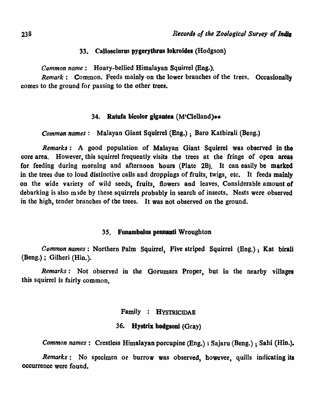## 33. Callosciurus pygerythras lokroides (Hodgson)

*Common name:* Hoary-bellied Himalayan Squirrel (Eng.).

*Remark*: Common. Feeds mainly on the lower branches of the trees. Occasionally comes to the ground for passing to the other trees.

## 34. Ratufa bicolor gigantea  $(M^{\prime}C$ lelland)\*\*

*Common names*: Malayan Giant Squirrel (Eng.); Baro Katbirali (Beng.)

*Remarks:* A good population of Malayan Giant Squirrel was observed in the core area. However, this squirrel frequently visits the trees at the fringe of open areas for feeding during morning and afternoon hours (Plate 2B). It can easily be marked in the trees due to loud distinctive calls and droppings of fruits, twigs, etc. It feeds mainly on the wide variety of wild seeds, fruits, flowers and leaves. Considerable amount of debarking is also mude by these squirrels probably in search of insects. Nests were observed in the high, tender branches of the trees. It was not observed on the ground.

### 35. Funambulus pennanti Wroughton

*Oommon names:* Northern Palm Squirrel, Five striped Squirrel (Eng.); Kat biraJi (Beng.) ; Gilheri (Hin.).

*Remarks*: Not observed in the Gorumara Proper, but in the nearby villages this squirrel is fairly common,

## Family : HYSTRICIDAE

## 36. Hystrix hodgsoni (Gray)

*Common names:* Crestless Himalayan porcupine (Eng.) ; Sajaru (Beng.) ; Sahi (Hin.).

*Remarks:* No specimen or burrow was observed, however, quills indicating its occurrence were found.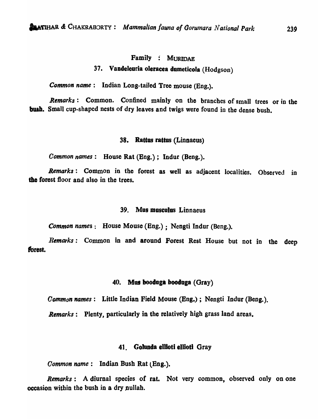### Family : MURIDAE

## 37. Vandeleuria oleracea dumeticola (Hodgson)

*Common name:* Indian Long-tailed Tree mouse (Eng.).

*Remarks:* Common. Confined mainly on the branches of small trees or in the bush. Small cup-shaped nests of dry leaves and twigs were found in the dense bush.

#### 38. Rattus raitus (Linnaeus)

*Common names:* House Rat (Eng.); Indur (Beng.).

*Remarks:* Common in the forest as well as adjacent localities. Observed in the forest floor and also in the trees.

#### 39. Mus musculus Linnaeus

*Common names:* House Mouse (Bng.) ; Nengti Indur (Beng.).

*Remarks:* Common in and around Forest Rest House but not in the deep forest.

#### 40. MUI boodoga booduga (Oray)

*Common names*: Little Indian Field Mouse (Eng.); Nengti Indur (Beng.).

*Remarks:* Plenty, particularly in the relatively high grass land areas.

#### 41. Golunda ellioti ellioti Gray

*Common name*: Indian Bush Rat (Eng.).

*Remarks:* A diurnal species of rat. Not very common, observed only on one occasion within the bush in a dry nullah.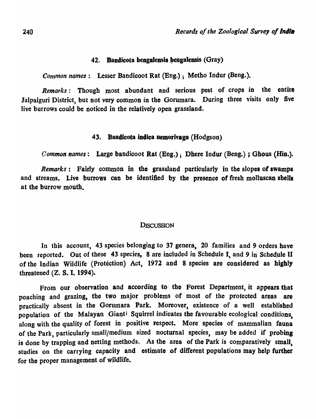## 42. Bandicota bengalensis bengalensis (Gray)

*Common names:* Lesser Bandicoot Rat (Eng.); Metho Indur (Beng.).

*Remarks:* Though most abundant and serious pest of crops in the entire Jalpaiguri District, but not very common in the Gorumara. During three visits only five live burrows could be noticed in the relatively open grassland.

## 43. Bandicota indica nemorivaga (Hodgson)

*Common names:* Large bandicoot Rat (Eng.); Dhere Indur (Beng.) ; Ghous (Hin.).

*Remarks:* Fairly common in the grassland particularly in the slopes of swamps and streams. Live burrows can be identified by the presence of fresh molluscan sbeJls at the burrow mouth.

#### **DISCUSSION**

In this account, 43 species belonging to 37 genera, 20 families and 9 orders have been reported. Out of these 43 species, 8 are included in Schedule I, and 9 in Schedule II of the Indian Wildlife (Protection) Act, 1972 and 8 species are considered as highly threatened (Z. S. I. 1994).

From our observation and according to the Forest Department, it appears that poaching and grazing, the two major problems of most of the protected areas are practically absent in the Gorumara Park. Moreover, existence of a well established population of the Malayan Giant<sup>i</sup> Squirrel indicates the favourable ecological conditions. along with the quality of forest in positive respect. More species of mammalian fauna of the Park, particularly small/medium sized nocturnal species, may be added if probing is done by trapping and netting methods. As the area of the Park is comparatively small. studies on the carrying capacity and estimate of different populations may help further for the proper management of wildlife.